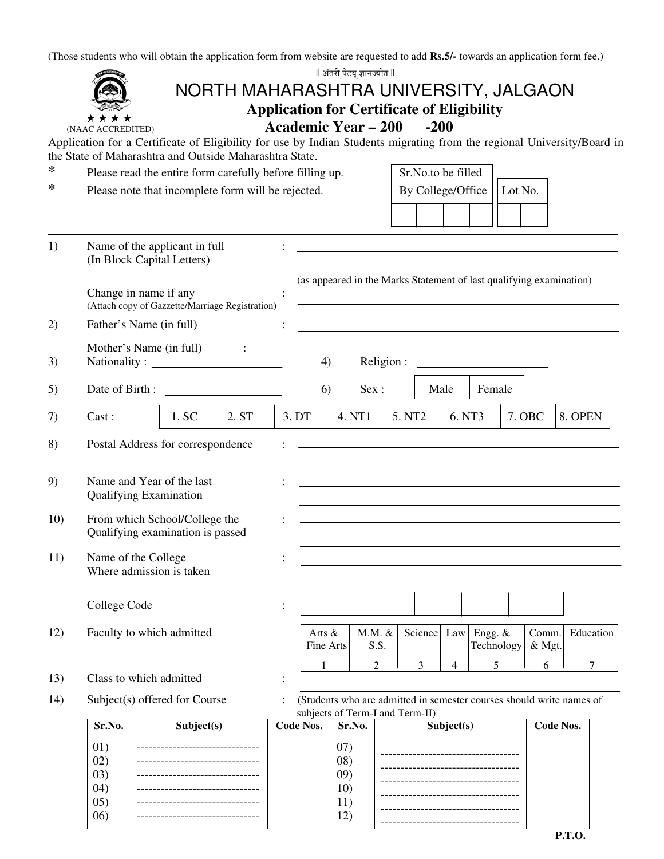(Those students who will obtain the application form from website are requested to add **Rs.5/-** towards an application form fee.)

|     |                                                                                                                                              |       |                                       |  |                            | ll अंतरी पेटवू ज्ञानज्योत ll                                                                                                                                                                                  |                |                                                                                                         |                |                       |  |                  |           |  |  |
|-----|----------------------------------------------------------------------------------------------------------------------------------------------|-------|---------------------------------------|--|----------------------------|---------------------------------------------------------------------------------------------------------------------------------------------------------------------------------------------------------------|----------------|---------------------------------------------------------------------------------------------------------|----------------|-----------------------|--|------------------|-----------|--|--|
|     |                                                                                                                                              |       | NORTH MAHARASHTRA UNIVERSITY, JALGAON |  |                            |                                                                                                                                                                                                               |                |                                                                                                         |                |                       |  |                  |           |  |  |
|     |                                                                                                                                              |       |                                       |  | <b>Academic Year – 200</b> |                                                                                                                                                                                                               |                | <b>Application for Certificate of Eligibility</b>                                                       |                |                       |  |                  |           |  |  |
|     | (NAAC ACCREDITED)<br>Application for a Certificate of Eligibility for use by Indian Students migrating from the regional University/Board in |       |                                       |  |                            |                                                                                                                                                                                                               |                | $-200$                                                                                                  |                |                       |  |                  |           |  |  |
|     | the State of Maharashtra and Outside Maharashtra State.                                                                                      |       |                                       |  |                            |                                                                                                                                                                                                               |                |                                                                                                         |                |                       |  |                  |           |  |  |
| ∗   | Please read the entire form carefully before filling up.                                                                                     |       |                                       |  |                            | Sr.No.to be filled                                                                                                                                                                                            |                |                                                                                                         |                |                       |  |                  |           |  |  |
| ∗   | Please note that incomplete form will be rejected.                                                                                           |       |                                       |  |                            |                                                                                                                                                                                                               |                | By College/Office<br>Lot No.                                                                            |                |                       |  |                  |           |  |  |
|     |                                                                                                                                              |       |                                       |  |                            |                                                                                                                                                                                                               |                |                                                                                                         |                |                       |  |                  |           |  |  |
|     |                                                                                                                                              |       |                                       |  |                            |                                                                                                                                                                                                               |                |                                                                                                         |                |                       |  |                  |           |  |  |
| 1)  | Name of the applicant in full                                                                                                                |       |                                       |  |                            |                                                                                                                                                                                                               |                |                                                                                                         |                |                       |  |                  |           |  |  |
|     | (In Block Capital Letters)                                                                                                                   |       |                                       |  |                            |                                                                                                                                                                                                               |                |                                                                                                         |                |                       |  |                  |           |  |  |
|     | Change in name if any<br>(Attach copy of Gazzette/Marriage Registration)                                                                     |       |                                       |  |                            |                                                                                                                                                                                                               |                | (as appeared in the Marks Statement of last qualifying examination)                                     |                |                       |  |                  |           |  |  |
| 2)  | Father's Name (in full)                                                                                                                      |       |                                       |  |                            |                                                                                                                                                                                                               |                |                                                                                                         |                |                       |  |                  |           |  |  |
|     | Mother's Name (in full)                                                                                                                      |       |                                       |  |                            |                                                                                                                                                                                                               |                |                                                                                                         |                |                       |  |                  |           |  |  |
| 3)  | Nationality:                                                                                                                                 |       |                                       |  | 4)                         |                                                                                                                                                                                                               | Religion:      |                                                                                                         |                |                       |  |                  |           |  |  |
| 5)  | Date of Birth:                                                                                                                               |       |                                       |  | 6)                         |                                                                                                                                                                                                               | Sex:           |                                                                                                         | Male           | Female                |  |                  |           |  |  |
|     |                                                                                                                                              |       |                                       |  |                            |                                                                                                                                                                                                               |                |                                                                                                         |                |                       |  |                  |           |  |  |
| 7)  | $\text{Cast}:$                                                                                                                               | 1. SC | 2. ST                                 |  | 3. DT                      | 4. NT1                                                                                                                                                                                                        |                | 5. NT <sub>2</sub>                                                                                      | 6. NT3         |                       |  | 7. OBC           | 8. OPEN   |  |  |
| 8)  | Postal Address for correspondence                                                                                                            |       |                                       |  |                            |                                                                                                                                                                                                               |                |                                                                                                         |                |                       |  |                  |           |  |  |
|     |                                                                                                                                              |       |                                       |  |                            |                                                                                                                                                                                                               |                |                                                                                                         |                |                       |  |                  |           |  |  |
| 9)  | Name and Year of the last<br><b>Qualifying Examination</b>                                                                                   |       |                                       |  |                            | and the control of the control of the control of the control of the control of the control of the control of the<br>the control of the control of the control of the control of the control of the control of |                |                                                                                                         |                |                       |  |                  |           |  |  |
| 10) | From which School/College the<br>Qualifying examination is passed                                                                            |       |                                       |  |                            |                                                                                                                                                                                                               |                |                                                                                                         |                |                       |  |                  |           |  |  |
| 11) | Name of the College                                                                                                                          |       |                                       |  |                            |                                                                                                                                                                                                               |                |                                                                                                         |                |                       |  |                  |           |  |  |
|     | Where admission is taken                                                                                                                     |       |                                       |  |                            |                                                                                                                                                                                                               |                |                                                                                                         |                |                       |  |                  |           |  |  |
|     |                                                                                                                                              |       |                                       |  |                            |                                                                                                                                                                                                               |                |                                                                                                         |                |                       |  |                  |           |  |  |
|     | College Code                                                                                                                                 |       |                                       |  |                            |                                                                                                                                                                                                               |                |                                                                                                         |                |                       |  |                  |           |  |  |
| 12) | Faculty to which admitted                                                                                                                    |       |                                       |  | Arts &<br>Fine Arts        |                                                                                                                                                                                                               | M.M. &<br>S.S. | Science                                                                                                 | Law            | Engg. &<br>Technology |  | Comm.<br>& Mgt.  | Education |  |  |
|     |                                                                                                                                              |       |                                       |  | 1                          |                                                                                                                                                                                                               | $\overline{2}$ | 3                                                                                                       | $\overline{4}$ | 5                     |  | 6                | $\tau$    |  |  |
| 13) | Class to which admitted                                                                                                                      |       |                                       |  |                            |                                                                                                                                                                                                               |                |                                                                                                         |                |                       |  |                  |           |  |  |
| 14) | Subject(s) offered for Course                                                                                                                |       |                                       |  |                            |                                                                                                                                                                                                               |                | (Students who are admitted in semester courses should write names of<br>subjects of Term-I and Term-II) |                |                       |  |                  |           |  |  |
|     | Sr.No.<br>Subject(s)                                                                                                                         |       |                                       |  | <b>Code Nos.</b>           | Sr.No.                                                                                                                                                                                                        |                |                                                                                                         | Subject(s)     |                       |  | <b>Code Nos.</b> |           |  |  |
|     | 01)<br>02)<br>(03)<br>(04)                                                                                                                   |       |                                       |  |                            | (07)                                                                                                                                                                                                          |                |                                                                                                         |                |                       |  |                  |           |  |  |
|     |                                                                                                                                              |       |                                       |  |                            | (08)                                                                                                                                                                                                          |                |                                                                                                         |                |                       |  |                  |           |  |  |
|     |                                                                                                                                              |       |                                       |  |                            | (09)<br>10)                                                                                                                                                                                                   |                |                                                                                                         |                |                       |  |                  |           |  |  |
|     | (05)                                                                                                                                         |       |                                       |  |                            | 11)                                                                                                                                                                                                           |                |                                                                                                         |                |                       |  |                  |           |  |  |
|     | (06)                                                                                                                                         |       |                                       |  |                            | 12)                                                                                                                                                                                                           |                |                                                                                                         |                |                       |  |                  |           |  |  |

-----------------------------------